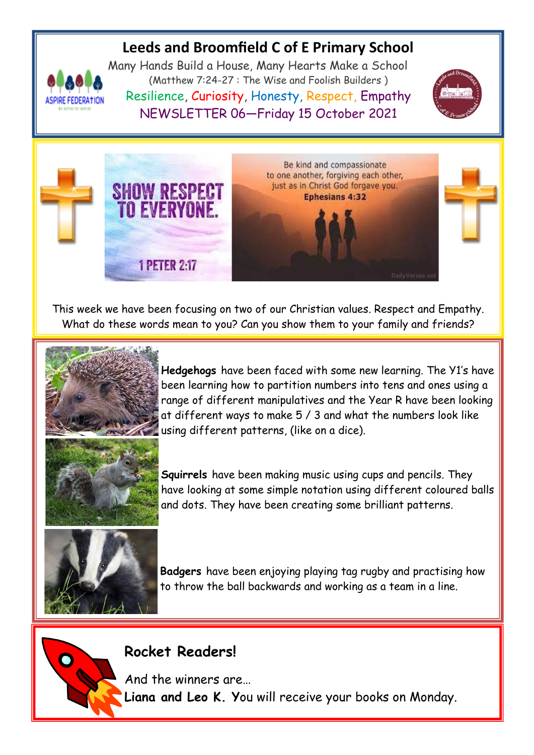# **Leeds and Broomfield C of E Primary School**



Many Hands Build a House, Many Hearts Make a School (Matthew 7:24-27 : The Wise and Foolish Builders ) Resilience, Curiosity, Honesty, Respect, Empathy NEWSLETTER 06—Friday 15 October 2021





This week we have been focusing on two of our Christian values. Respect and Empathy. What do these words mean to you? Can you show them to your family and friends?



**Hedgehogs** have been faced with some new learning. The Y1's have been learning how to partition numbers into tens and ones using a range of different manipulatives and the Year R have been looking at different ways to make 5 / 3 and what the numbers look like using different patterns, (like on a dice).



**Squirrels** have been making music using cups and pencils. They have looking at some simple notation using different coloured balls and dots. They have been creating some brilliant patterns.



 $\bullet$ 

**Badgers** have been enjoying playing tag rugby and practising how to throw the ball backwards and working as a team in a line.

# **Rocket Readers!**

And the winners are… **Liana and Leo K. Y**ou will receive your books on Monday.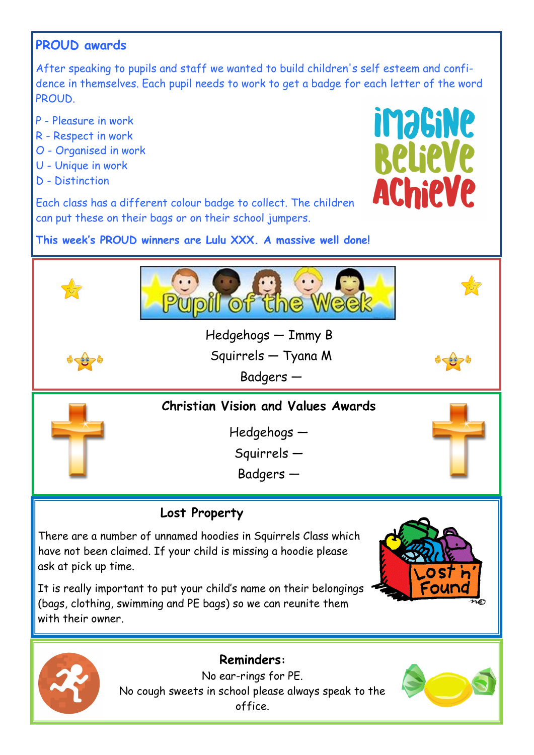# **PROUD awards**

After speaking to pupils and staff we wanted to build children's self esteem and confidence in themselves. Each pupil needs to work to get a badge for each letter of the word **PROUD.** 

- P Pleasure in work
- R Respect in work
- O Organised in work
- U Unique in work
- D Distinction



Each class has a different colour badge to collect. The children can put these on their bags or on their school jumpers.

**This week's PROUD winners are Lulu XXX. A massive well done!**





No ear-rings for PE. No cough sweets in school please always speak to the office.

**Reminders:**

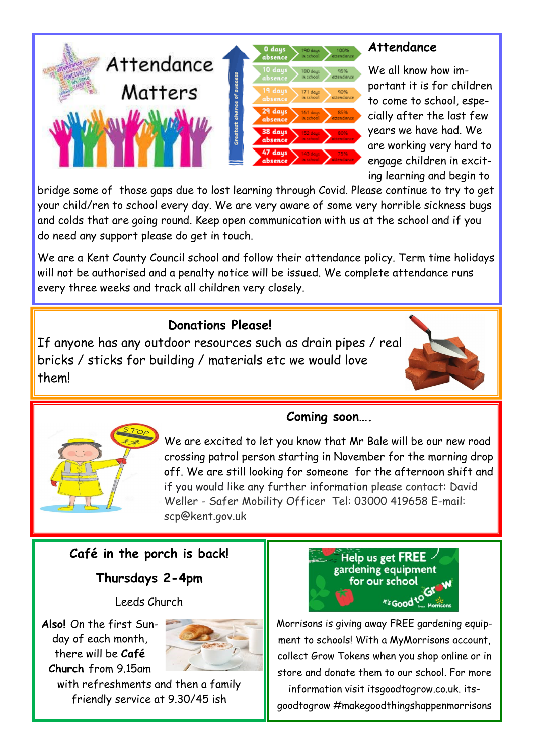

#### **Attendance**

We all know how important it is for children to come to school, especially after the last few years we have had. We are working very hard to engage children in exciting learning and begin to

bridge some of those gaps due to lost learning through Covid. Please continue to try to get your child/ren to school every day. We are very aware of some very horrible sickness bugs and colds that are going round. Keep open communication with us at the school and if you do need any support please do get in touch.

We are a Kent County Council school and follow their attendance policy. Term time holidays will not be authorised and a penalty notice will be issued. We complete attendance runs every three weeks and track all children very closely.

#### **Donations Please!**

If anyone has any outdoor resources such as drain pipes / real bricks / sticks for building / materials etc we would love them!





## **Coming soon….**

We are excited to let you know that Mr Bale will be our new road crossing patrol person starting in November for the morning drop off. We are still looking for someone for the afternoon shift and if you would like any further information please contact: David Weller - Safer Mobility Officer Tel: 03000 419658 E-mail: scp@kent.gov.uk

## **Café in the porch is back!**

**Thursdays 2-4pm**

Leeds Church

**Also!** On the first Sunday of each month, there will be **Café Church** from 9.15am



with refreshments and then a family friendly service at 9.30/45 ish



Morrisons is giving away FREE gardening equipment to schools! With a MyMorrisons account, collect Grow Tokens when you shop online or in store and donate them to our school. For more information visit itsgoodtogrow.co.uk. its-

goodtogrow #makegoodthingshappenmorrisons